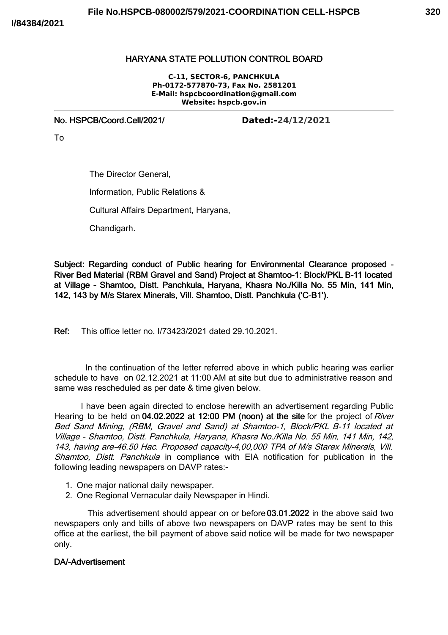## HARYANA STATE POLLUTION CONTROL BOARD

**C-11, SECTOR-6, PANCHKULA Ph-0172-577870-73, Fax No. 2581201 E-Mail: hspcbcoordination@gmail.com Website: hspcb.gov.in**

No. HSPCB/Coord.Cell/2021/ **Dated:-24/12/2021**

To

The Director General, Information, Public Relations & Cultural Affairs Department, Haryana, Chandigarh.

Subject: Regarding conduct of Public hearing for Environmental Clearance proposed - River Bed Material (RBM Gravel and Sand) Project at Shamtoo-1: Block/PKL B-11 located at Village - Shamtoo, Distt. Panchkula, Haryana, Khasra No./Killa No. 55 Min, 141 Min, 142, 143 by M/s Starex Minerals, Vill. Shamtoo, Distt. Panchkula ('C-B1').

Ref: This office letter no. I/73423/2021 dated 29.10.2021.

In the continuation of the letter referred above in which public hearing was earlier schedule to have on 02.12.2021 at 11:00 AM at site but due to administrative reason and same was rescheduled as per date & time given below.

I have been again directed to enclose herewith an advertisement regarding Public Hearing to be held on 04.02.2022 at 12:00 PM (noon) at the site for the project of River Bed Sand Mining, (RBM, Gravel and Sand) at Shamtoo-1, Block/PKL B-11 located at Village - Shamtoo, Distt. Panchkula, Haryana, Khasra No./Killa No. 55 Min, 141 Min, 142, 143, having are-46.50 Hac. Proposed capacity-4,00,000 TPA of M/s Starex Minerals, Vill. Shamtoo, Distt. Panchkula in compliance with EIA notification for publication in the following leading newspapers on DAVP rates:-

- 1. One major national daily newspaper.
- 2. One Regional Vernacular daily Newspaper in Hindi.

This advertisement should appear on or before 03.01.2022 in the above said two newspapers only and bills of above two newspapers on DAVP rates may be sent to this office at the earliest, the bill payment of above said notice will be made for two newspaper only.

## DA/-Advertisement